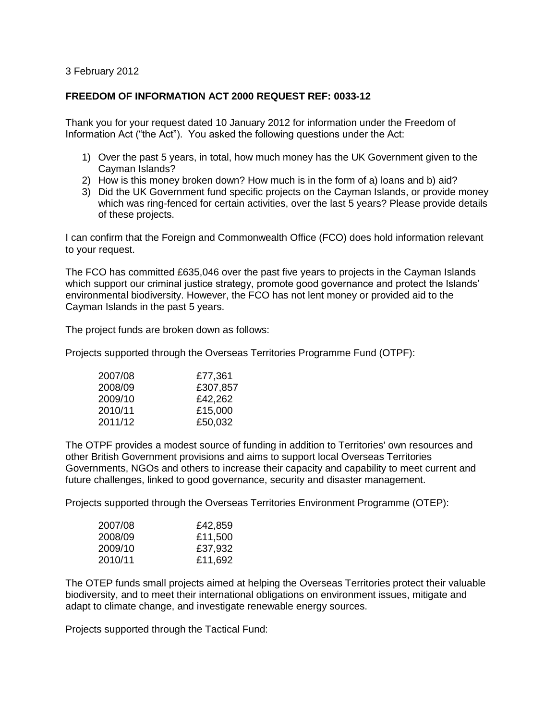## 3 February 2012

## **FREEDOM OF INFORMATION ACT 2000 REQUEST REF: 0033-12**

Thank you for your request dated 10 January 2012 for information under the Freedom of Information Act ("the Act"). You asked the following questions under the Act:

- 1) Over the past 5 years, in total, how much money has the UK Government given to the Cayman Islands?
- 2) How is this money broken down? How much is in the form of a) loans and b) aid?
- 3) Did the UK Government fund specific projects on the Cayman Islands, or provide money which was ring-fenced for certain activities, over the last 5 years? Please provide details of these projects.

I can confirm that the Foreign and Commonwealth Office (FCO) does hold information relevant to your request.

The FCO has committed £635,046 over the past five years to projects in the Cayman Islands which support our criminal justice strategy, promote good governance and protect the Islands' environmental biodiversity. However, the FCO has not lent money or provided aid to the Cayman Islands in the past 5 years.

The project funds are broken down as follows:

Projects supported through the Overseas Territories Programme Fund (OTPF):

| 2007/08 | £77,361  |
|---------|----------|
| 2008/09 | £307,857 |
| 2009/10 | £42,262  |
| 2010/11 | £15,000  |
| 2011/12 | £50,032  |

The OTPF provides a modest source of funding in addition to Territories' own resources and other British Government provisions and aims to support local Overseas Territories Governments, NGOs and others to increase their capacity and capability to meet current and future challenges, linked to good governance, security and disaster management.

Projects supported through the Overseas Territories Environment Programme (OTEP):

| 2007/08 | £42,859 |
|---------|---------|
| 2008/09 | £11,500 |
| 2009/10 | £37,932 |
| 2010/11 | £11,692 |

The OTEP funds small projects aimed at helping the Overseas Territories protect their valuable biodiversity, and to meet their international obligations on environment issues, mitigate and adapt to climate change, and investigate renewable energy sources.

Projects supported through the Tactical Fund: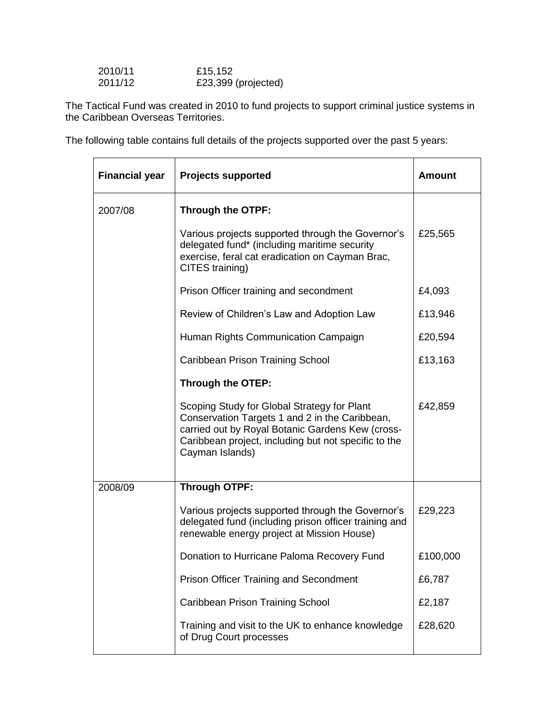| 2010/11 | £15,152             |
|---------|---------------------|
| 2011/12 | £23,399 (projected) |

 $\mathbf{r}$ 

The Tactical Fund was created in 2010 to fund projects to support criminal justice systems in the Caribbean Overseas Territories.

The following table contains full details of the projects supported over the past 5 years:

| <b>Financial year</b> | <b>Projects supported</b>                                                                                                                                                                                                    | <b>Amount</b> |
|-----------------------|------------------------------------------------------------------------------------------------------------------------------------------------------------------------------------------------------------------------------|---------------|
| 2007/08               | Through the OTPF:                                                                                                                                                                                                            |               |
|                       | Various projects supported through the Governor's<br>delegated fund* (including maritime security<br>exercise, feral cat eradication on Cayman Brac,<br>CITES training)                                                      | £25,565       |
|                       | Prison Officer training and secondment                                                                                                                                                                                       | £4,093        |
|                       | Review of Children's Law and Adoption Law                                                                                                                                                                                    | £13,946       |
|                       | Human Rights Communication Campaign                                                                                                                                                                                          | £20,594       |
|                       | Caribbean Prison Training School                                                                                                                                                                                             | £13,163       |
|                       | Through the OTEP:                                                                                                                                                                                                            |               |
|                       | Scoping Study for Global Strategy for Plant<br>Conservation Targets 1 and 2 in the Caribbean,<br>carried out by Royal Botanic Gardens Kew (cross-<br>Caribbean project, including but not specific to the<br>Cayman Islands) | £42,859       |
| 2008/09               | <b>Through OTPF:</b>                                                                                                                                                                                                         |               |
|                       | Various projects supported through the Governor's<br>delegated fund (including prison officer training and<br>renewable energy project at Mission House)                                                                     | £29,223       |
|                       | Donation to Hurricane Paloma Recovery Fund                                                                                                                                                                                   | £100,000      |
|                       | Prison Officer Training and Secondment                                                                                                                                                                                       | £6,787        |
|                       | <b>Caribbean Prison Training School</b>                                                                                                                                                                                      | £2,187        |
|                       | Training and visit to the UK to enhance knowledge<br>of Drug Court processes                                                                                                                                                 | £28,620       |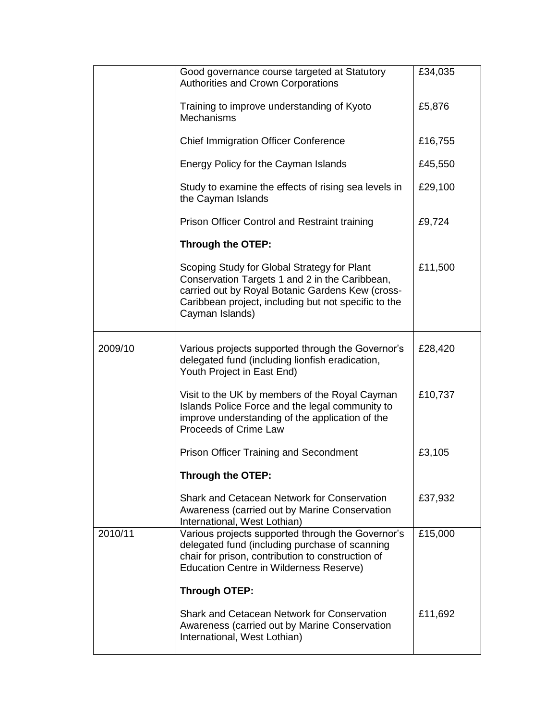|         | Good governance course targeted at Statutory<br><b>Authorities and Crown Corporations</b>                                                                                                                                    | £34,035 |
|---------|------------------------------------------------------------------------------------------------------------------------------------------------------------------------------------------------------------------------------|---------|
|         | Training to improve understanding of Kyoto<br><b>Mechanisms</b>                                                                                                                                                              | £5,876  |
|         | <b>Chief Immigration Officer Conference</b>                                                                                                                                                                                  | £16,755 |
|         | Energy Policy for the Cayman Islands                                                                                                                                                                                         | £45,550 |
|         | Study to examine the effects of rising sea levels in<br>the Cayman Islands                                                                                                                                                   | £29,100 |
|         | Prison Officer Control and Restraint training                                                                                                                                                                                | £9,724  |
|         | Through the OTEP:                                                                                                                                                                                                            |         |
|         | Scoping Study for Global Strategy for Plant<br>Conservation Targets 1 and 2 in the Caribbean,<br>carried out by Royal Botanic Gardens Kew (cross-<br>Caribbean project, including but not specific to the<br>Cayman Islands) | £11,500 |
| 2009/10 | Various projects supported through the Governor's<br>delegated fund (including lionfish eradication,<br>Youth Project in East End)                                                                                           | £28,420 |
|         | Visit to the UK by members of the Royal Cayman<br>Islands Police Force and the legal community to<br>improve understanding of the application of the<br>Proceeds of Crime Law                                                | £10,737 |
|         | <b>Prison Officer Training and Secondment</b>                                                                                                                                                                                | £3,105  |
|         | Through the OTEP:                                                                                                                                                                                                            |         |
|         | Shark and Cetacean Network for Conservation<br>Awareness (carried out by Marine Conservation<br>International, West Lothian)                                                                                                 | £37,932 |
| 2010/11 | Various projects supported through the Governor's<br>delegated fund (including purchase of scanning<br>chair for prison, contribution to construction of<br><b>Education Centre in Wilderness Reserve)</b>                   | £15,000 |
|         | <b>Through OTEP:</b>                                                                                                                                                                                                         |         |
|         | Shark and Cetacean Network for Conservation<br>Awareness (carried out by Marine Conservation<br>International, West Lothian)                                                                                                 | £11,692 |